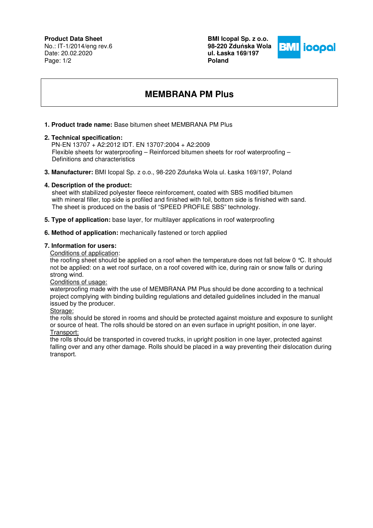# **Product Data Sheet**

No.: IT-1/2014/eng rev.6 Date: 20.02.2020 Page: 1/2

**BMI Icopal Sp. z o.o. 98-220 Zdu**ń**ska Wola ul. Łaska 169/197 Poland** 



# **MEMBRANA PM Plus**

## **1. Product trade name:** Base bitumen sheet MEMBRANA PM Plus

#### **2. Technical specification:**

 PN-EN 13707 + A2:2012 IDT. EN 13707:2004 + A2:2009 Flexible sheets for waterproofing – Reinforced bitumen sheets for roof waterproofing – Definitions and characteristics

**3. Manufacturer:** BMI Icopal Sp. z o.o., 98-220 Zduńska Wola ul. Łaska 169/197, Poland

### **4. Description of the product:**

 sheet with stabilized polyester fleece reinforcement, coated with SBS modified bitumen with mineral filler, top side is profiled and finished with foil, bottom side is finished with sand. The sheet is produced on the basis of "SPEED PROFILE SBS" technology.

**5. Type of application:** base layer, for multilayer applications in roof waterproofing

#### **6. Method of application:** mechanically fastened or torch applied

## **7. Information for users:**

Conditions of application:

the roofing sheet should be applied on a roof when the temperature does not fall below 0 °C. It should not be applied: on a wet roof surface, on a roof covered with ice, during rain or snow falls or during strong wind.

Conditions of usage:

waterproofing made with the use of MEMBRANA PM Plus should be done according to a technical project complying with binding building regulations and detailed guidelines included in the manual issued by the producer.

Storage:

the rolls should be stored in rooms and should be protected against moisture and exposure to sunlight or source of heat. The rolls should be stored on an even surface in upright position, in one layer. Transport:

the rolls should be transported in covered trucks, in upright position in one layer, protected against falling over and any other damage. Rolls should be placed in a way preventing their dislocation during transport.